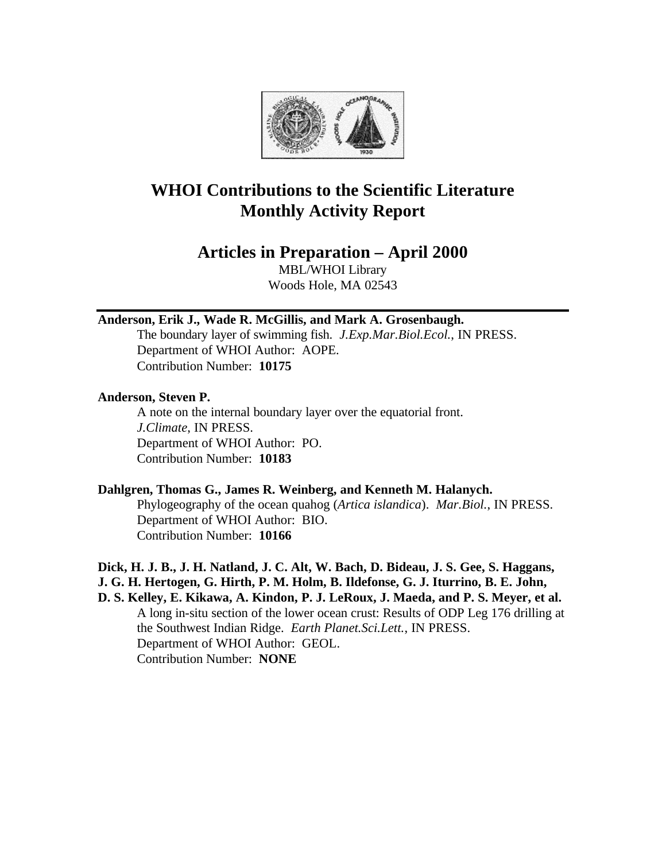

# **WHOI Contributions to the Scientific Literature Monthly Activity Report**

# **Articles in Preparation – April 2000**

MBL/WHOI Library Woods Hole, MA 02543

# **Anderson, Erik J., Wade R. McGillis, and Mark A. Grosenbaugh.**

The boundary layer of swimming fish. *J.Exp.Mar.Biol.Ecol.*, IN PRESS. Department of WHOI Author: AOPE. Contribution Number: **10175**

### **Anderson, Steven P.**

A note on the internal boundary layer over the equatorial front. *J.Climate*, IN PRESS. Department of WHOI Author: PO. Contribution Number: **10183**

# **Dahlgren, Thomas G., James R. Weinberg, and Kenneth M. Halanych.**

Phylogeography of the ocean quahog (*Artica islandica*). *Mar.Biol.*, IN PRESS. Department of WHOI Author: BIO. Contribution Number: **10166**

#### **Dick, H. J. B., J. H. Natland, J. C. Alt, W. Bach, D. Bideau, J. S. Gee, S. Haggans, J. G. H. Hertogen, G. Hirth, P. M. Holm, B. Ildefonse, G. J. Iturrino, B. E. John,**

**D. S. Kelley, E. Kikawa, A. Kindon, P. J. LeRoux, J. Maeda, and P. S. Meyer, et al.** A long in-situ section of the lower ocean crust: Results of ODP Leg 176 drilling at the Southwest Indian Ridge. *Earth Planet.Sci.Lett.*, IN PRESS. Department of WHOI Author: GEOL. Contribution Number: **NONE**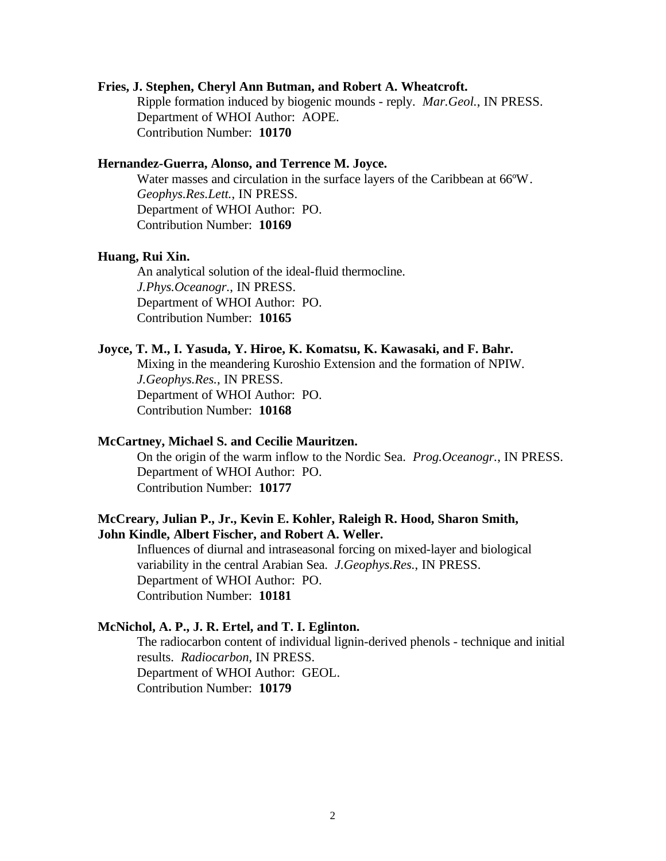# **Fries, J. Stephen, Cheryl Ann Butman, and Robert A. Wheatcroft.**

Ripple formation induced by biogenic mounds - reply. *Mar.Geol.*, IN PRESS. Department of WHOI Author: AOPE. Contribution Number: **10170**

# **Hernandez-Guerra, Alonso, and Terrence M. Joyce.**

Water masses and circulation in the surface layers of the Caribbean at 66ºW. *Geophys.Res.Lett.*, IN PRESS. Department of WHOI Author: PO. Contribution Number: **10169**

#### **Huang, Rui Xin.**

An analytical solution of the ideal-fluid thermocline. *J.Phys.Oceanogr.*, IN PRESS. Department of WHOI Author: PO. Contribution Number: **10165**

#### **Joyce, T. M., I. Yasuda, Y. Hiroe, K. Komatsu, K. Kawasaki, and F. Bahr.**

Mixing in the meandering Kuroshio Extension and the formation of NPIW. *J.Geophys.Res.*, IN PRESS. Department of WHOI Author: PO. Contribution Number: **10168**

# **McCartney, Michael S. and Cecilie Mauritzen.**

On the origin of the warm inflow to the Nordic Sea. *Prog.Oceanogr.*, IN PRESS. Department of WHOI Author: PO. Contribution Number: **10177**

# **McCreary, Julian P., Jr., Kevin E. Kohler, Raleigh R. Hood, Sharon Smith, John Kindle, Albert Fischer, and Robert A. Weller.**

Influences of diurnal and intraseasonal forcing on mixed-layer and biological variability in the central Arabian Sea. *J.Geophys.Res.*, IN PRESS. Department of WHOI Author: PO. Contribution Number: **10181**

# **McNichol, A. P., J. R. Ertel, and T. I. Eglinton.**

The radiocarbon content of individual lignin-derived phenols - technique and initial results. *Radiocarbon*, IN PRESS. Department of WHOI Author: GEOL. Contribution Number: **10179**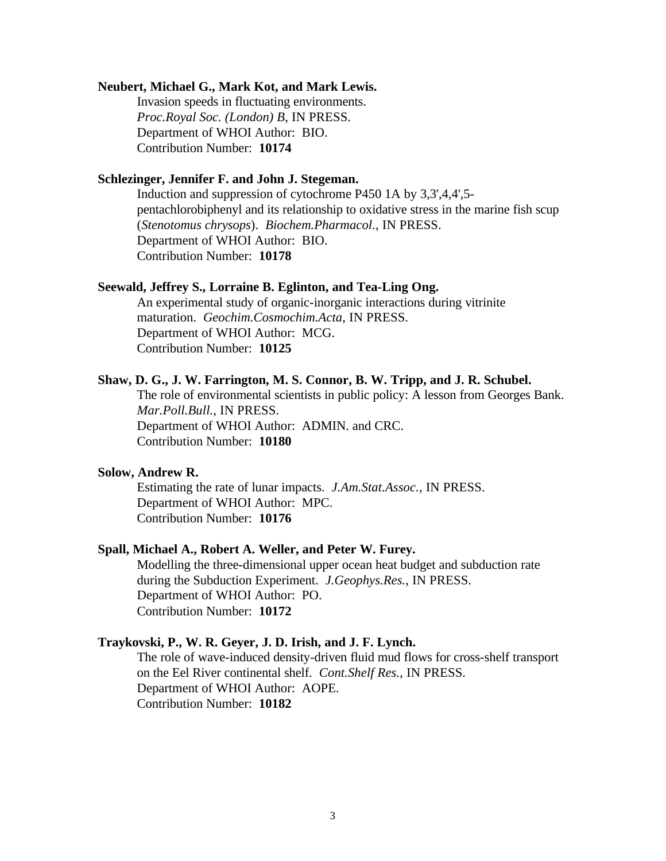#### **Neubert, Michael G., Mark Kot, and Mark Lewis.**

Invasion speeds in fluctuating environments. *Proc.Royal Soc. (London) B*, IN PRESS. Department of WHOI Author: BIO. Contribution Number: **10174**

# **Schlezinger, Jennifer F. and John J. Stegeman.**

Induction and suppression of cytochrome P450 1A by 3,3',4,4',5 pentachlorobiphenyl and its relationship to oxidative stress in the marine fish scup (*Stenotomus chrysops*). *Biochem.Pharmacol*., IN PRESS. Department of WHOI Author: BIO. Contribution Number: **10178**

#### **Seewald, Jeffrey S., Lorraine B. Eglinton, and Tea-Ling Ong.**

An experimental study of organic-inorganic interactions during vitrinite maturation. *Geochim.Cosmochim.Acta*, IN PRESS. Department of WHOI Author: MCG. Contribution Number: **10125**

#### **Shaw, D. G., J. W. Farrington, M. S. Connor, B. W. Tripp, and J. R. Schubel.**

The role of environmental scientists in public policy: A lesson from Georges Bank. *Mar.Poll.Bull.*, IN PRESS. Department of WHOI Author: ADMIN. and CRC. Contribution Number: **10180**

#### **Solow, Andrew R.**

Estimating the rate of lunar impacts. *J.Am.Stat.Assoc.*, IN PRESS. Department of WHOI Author: MPC. Contribution Number: **10176**

#### **Spall, Michael A., Robert A. Weller, and Peter W. Furey.**

Modelling the three-dimensional upper ocean heat budget and subduction rate during the Subduction Experiment. *J.Geophys.Res.*, IN PRESS. Department of WHOI Author: PO. Contribution Number: **10172**

#### **Traykovski, P., W. R. Geyer, J. D. Irish, and J. F. Lynch.**

The role of wave-induced density-driven fluid mud flows for cross-shelf transport on the Eel River continental shelf. *Cont.Shelf Res.*, IN PRESS. Department of WHOI Author: AOPE. Contribution Number: **10182**